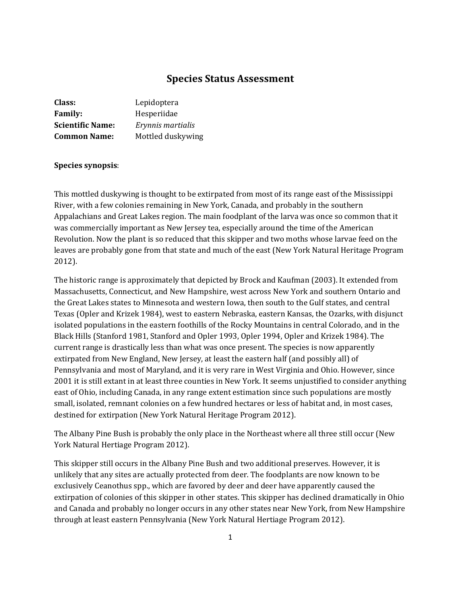# **Species Status Assessment**

| Class:                  | Lepidoptera       |
|-------------------------|-------------------|
| <b>Family:</b>          | Hesperiidae       |
| <b>Scientific Name:</b> | Erynnis martialis |
| <b>Common Name:</b>     | Mottled duskywing |

### **Species synopsis**:

This mottled duskywing is thought to be extirpated from most of its range east of the Mississippi River, with a few colonies remaining in New York, Canada, and probably in the southern Appalachians and Great Lakes region. The main foodplant of the larva was once so common that it was commercially important as New Jersey tea, especially around the time of the American Revolution. Now the plant is so reduced that this skipper and two moths whose larvae feed on the leaves are probably gone from that state and much of the east (New York Natural Heritage Program 2012).

The historic range is approximately that depicted by Brock and Kaufman (2003). It extended from Massachusetts, Connecticut, and New Hampshire, west across New York and southern Ontario and the Great Lakes states to Minnesota and western Iowa, then south to the Gulf states, and central Texas (Opler and Krizek 1984), west to eastern Nebraska, eastern Kansas, the Ozarks, with disjunct isolated populations in the eastern foothills of the Rocky Mountains in central Colorado, and in the Black Hills (Stanford 1981, Stanford and Opler 1993, Opler 1994, Opler and Krizek 1984). The current range is drastically less than what was once present. The species is now apparently extirpated from New England, New Jersey, at least the eastern half (and possibly all) of Pennsylvania and most of Maryland, and it is very rare in West Virginia and Ohio. However, since 2001 it is still extant in at least three counties in New York. It seems unjustified to consider anything east of Ohio, including Canada, in any range extent estimation since such populations are mostly small, isolated, remnant colonies on a few hundred hectares or less of habitat and, in most cases, destined for extirpation (New York Natural Heritage Program 2012).

The Albany Pine Bush is probably the only place in the Northeast where all three still occur (New York Natural Hertiage Program 2012).

This skipper still occurs in the Albany Pine Bush and two additional preserves. However, it is unlikely that any sites are actually protected from deer. The foodplants are now known to be exclusively Ceanothus spp., which are favored by deer and deer have apparently caused the extirpation of colonies of this skipper in other states. This skipper has declined dramatically in Ohio and Canada and probably no longer occurs in any other states near New York, from New Hampshire through at least eastern Pennsylvania (New York Natural Hertiage Program 2012).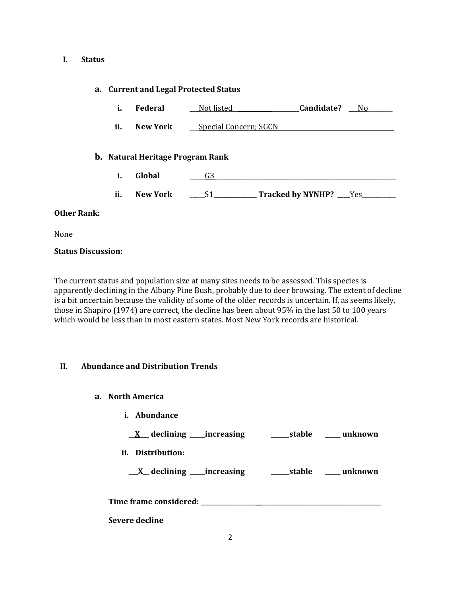### **I. Status**

# **a. Current and Legal Protected Status**

- **i. Federal \_\_\_**Not listed**\_ \_\_\_\_\_\_\_\_\_\_\_\_\_\_\_\_\_\_\_\_Candidate? \_\_\_**No\_\_\_\_\_\_\_\_
- **ii. New York \_\_\_** Special Concern: SGCN

# **b. Natural Heritage Program Rank**

- **i. Global \_\_\_\_\_**G3**\_\_\_\_\_\_\_\_\_\_\_\_\_\_\_\_\_\_\_\_\_\_\_\_\_\_\_\_\_\_\_\_\_\_\_\_\_\_\_\_\_\_\_\_\_\_\_\_\_\_\_\_\_\_\_\_\_\_\_**
- **ii. New York** \_\_\_\_\_S1**\_\_\_\_\_\_\_\_\_\_\_\_\_\_ Tracked by NYNHP? \_\_\_\_**Yes\_\_\_\_\_\_\_\_\_\_\_

# **Other Rank:**

None

# **Status Discussion:**

The current status and population size at many sites needs to be assessed. This species is apparently declining in the Albany Pine Bush, probably due to deer browsing. The extent of decline is a bit uncertain because the validity of some of the older records is uncertain. If, as seems likely, those in Shapiro (1974) are correct, the decline has been about 95% in the last 50 to 100 years which would be less than in most eastern states. Most New York records are historical.

# **II. Abundance and Distribution Trends**

- **a. North America**
	- **i. Abundance**

**\_\_X\_\_\_ declining \_\_\_\_\_increasing \_\_\_\_\_\_stable \_\_\_\_\_ unknown**

**ii. Distribution:**

**\_\_\_X\_\_ declining \_\_\_\_\_increasing \_\_\_\_\_\_stable \_\_\_\_\_ unknown**

**Time frame considered: \_\_\_\_\_\_\_\_\_\_\_\_\_\_\_\_\_\_ \_\_\_\_\_\_\_\_\_\_\_\_\_\_\_\_\_\_\_\_\_\_\_\_\_\_\_\_\_\_\_\_\_\_\_\_\_\_\_**

**Severe decline**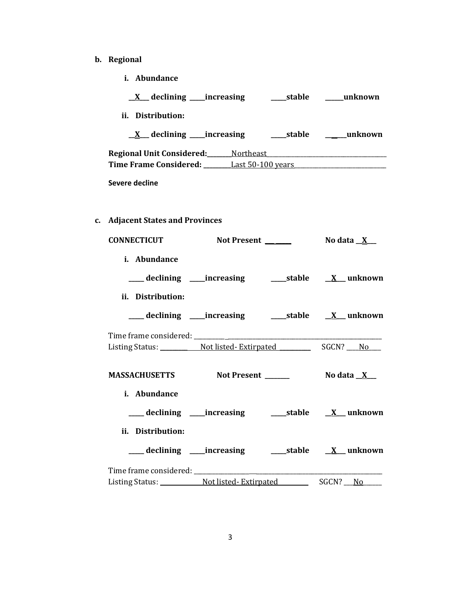- **b. Regional** 
	- **i. Abundance**

| $\underline{X}$ declining _____ increasing      | stable     | unknown |
|-------------------------------------------------|------------|---------|
| ii. Distribution:                               |            |         |
| $X$ declining _____increasing                   | ____stable | unknown |
| <b>Regional Unit Considered:</b> Northeast      |            |         |
| <b>Time Frame Considered:</b> Last 50-100 years |            |         |
| Severe decline                                  |            |         |

**c. Adjacent States and Provinces**

| <b>CONNECTICUT</b>               | Not Present _______ | No data $X_{-}$                                            |
|----------------------------------|---------------------|------------------------------------------------------------|
| i. Abundance                     |                     |                                                            |
|                                  |                     |                                                            |
| ii. Distribution:                |                     |                                                            |
|                                  |                     |                                                            |
|                                  |                     |                                                            |
|                                  |                     |                                                            |
| MASSACHUSETTS Not Present ______ |                     | No data $X_{-}$                                            |
|                                  |                     |                                                            |
| i. Abundance                     |                     |                                                            |
|                                  |                     | ___ declining ____increasing ______stable ___ X___ unknown |
| ii. Distribution:                |                     |                                                            |
|                                  |                     |                                                            |
|                                  |                     |                                                            |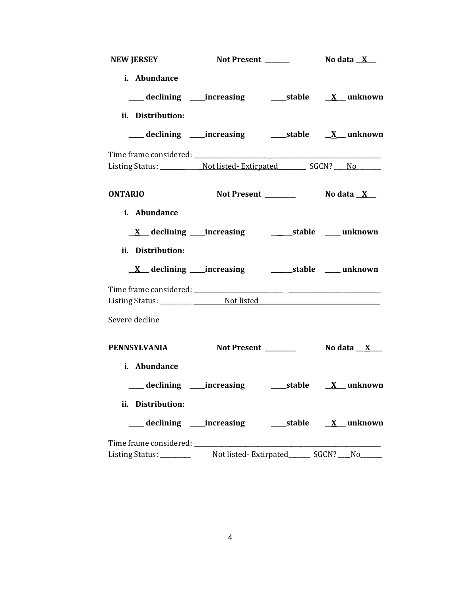| <b>NEW JERSEY</b>                   | Not Present ______                                                        | No data $\underline{\mathbf{X}}$ |
|-------------------------------------|---------------------------------------------------------------------------|----------------------------------|
| i. Abundance<br>ii. Distribution:   | ___ declining ____increasing ______stable ___ X___ unknown                |                                  |
|                                     | ___ declining ____increasing ______stable ___ <u>X</u> __ unknown         |                                  |
|                                     |                                                                           |                                  |
| <b>ONTARIO</b>                      |                                                                           |                                  |
| i. Abundance<br>ii. Distribution:   |                                                                           |                                  |
|                                     |                                                                           |                                  |
| Severe decline                      |                                                                           |                                  |
| <b>PENNSYLVANIA</b><br>i. Abundance | Not Present ______                                                        | No data _ <u>_X</u> ___          |
|                                     | ___ declining ____increasing ____________stable ____ <u>X__</u> _ unknown |                                  |
| ii. Distribution:                   | ___declining ___increasing _____stable ___ <u>X</u> __unknown             |                                  |
|                                     |                                                                           |                                  |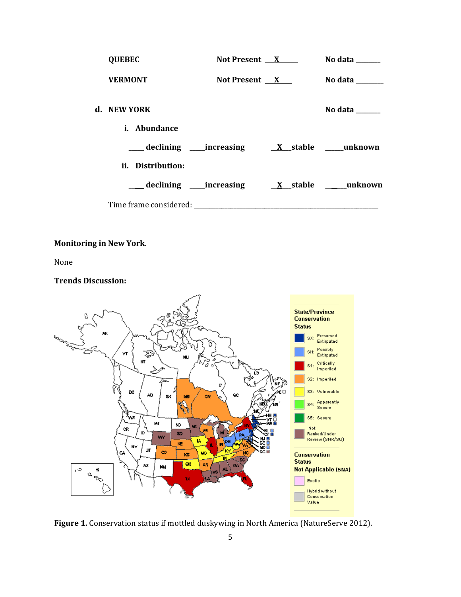| <b>QUEBEC</b>       | Not Present $X$ | No data ______ |
|---------------------|-----------------|----------------|
| <b>VERMONT</b>      | Not Present $X$ | No data ______ |
| d. NEW YORK         |                 | No data ______ |
| <i>i.</i> Abundance |                 |                |
|                     |                 |                |
| ii. Distribution:   |                 |                |
|                     |                 |                |
|                     |                 |                |

# **Monitoring in New York.**

None

#### **Trends Discussion:**



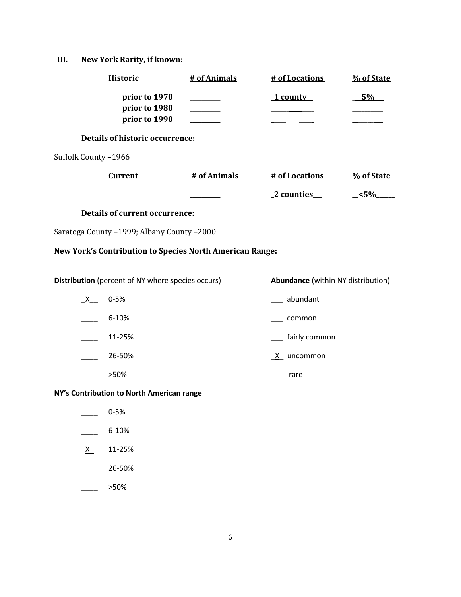# **III. New York Rarity, if known:**

| <b>Historic</b>                                          | # of Animals | # of Locations                            | % of State |
|----------------------------------------------------------|--------------|-------------------------------------------|------------|
| prior to 1970<br>prior to 1980<br>prior to 1990          |              | 1 county                                  | 5%         |
| <b>Details of historic occurrence:</b>                   |              |                                           |            |
| Suffolk County-1966                                      |              |                                           |            |
| <b>Current</b>                                           | # of Animals | # of Locations                            | % of State |
|                                                          |              | 2 counties                                | $5\%$      |
| <b>Details of current occurrence:</b>                    |              |                                           |            |
| Saratoga County -1999; Albany County -2000               |              |                                           |            |
| New York's Contribution to Species North American Range: |              |                                           |            |
| Distribution (percent of NY where species occurs)        |              | <b>Abundance</b> (within NY distribution) |            |
| $0 - 5%$<br>X —                                          |              | _ abundant                                |            |
| 6-10%                                                    |              | common                                    |            |
| 11-25%                                                   |              | fairly common                             |            |
| 26-50%                                                   |              | X uncommon                                |            |
| >50%                                                     |              | rare                                      |            |
| NY's Contribution to North American range                |              |                                           |            |
| $0 - 5%$                                                 |              |                                           |            |
| 6-10%                                                    |              |                                           |            |
| 11-25%<br>$x_{-}$                                        |              |                                           |            |
| 26-50%                                                   |              |                                           |            |

\_\_\_\_ >50%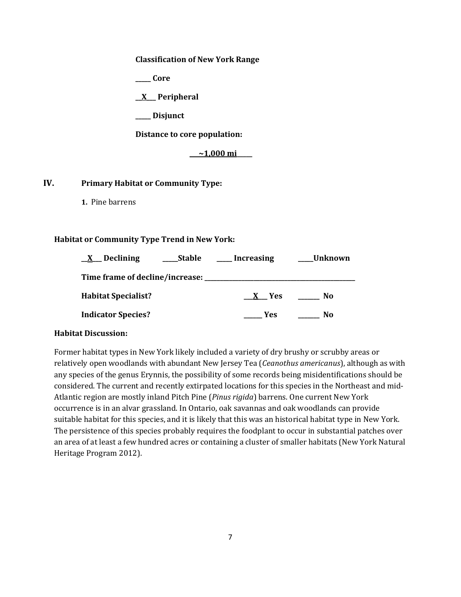#### **Classification of New York Range**

**\_\_\_\_\_ Core**

**\_\_X\_\_\_ Peripheral**

**\_\_\_\_\_ Disjunct**

**Distance to core population:**

**\_\_\_~1,000 mi\_\_\_\_\_**

# **IV. Primary Habitat or Community Type:**

**1.** Pine barrens

## **Habitat or Community Type Trend in New York:**

| Declining<br>$\mathbf{X}$          | Stable | Increasing | Unknown |
|------------------------------------|--------|------------|---------|
| Time frame of decline/increase: __ |        |            |         |
| <b>Habitat Specialist?</b>         |        | X Yes      | No.     |
| <b>Indicator Species?</b>          |        | Yes        | No      |

#### **Habitat Discussion:**

Former habitat types in New York likely included a variety of dry brushy or scrubby areas or relatively open woodlands with abundant New Jersey Tea (*Ceanothus americanus*), although as with any species of the genus Erynnis, the possibility of some records being misidentifications should be considered. The current and recently extirpated locations for this species in the Northeast and mid-Atlantic region are mostly inland Pitch Pine (*Pinus rigida*) barrens. One current New York occurrence is in an alvar grassland. In Ontario, oak savannas and oak woodlands can provide suitable habitat for this species, and it is likely that this was an historical habitat type in New York. The persistence of this species probably requires the foodplant to occur in substantial patches over an area of at least a few hundred acres or containing a cluster of smaller habitats (New York Natural Heritage Program 2012).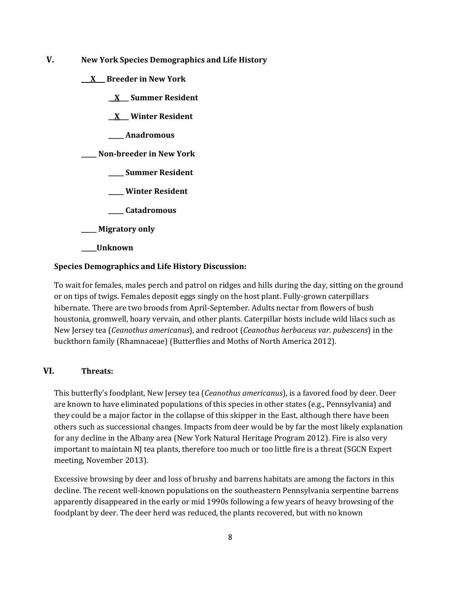**V. New York Species Demographics and Life History**

**\_\_\_X\_\_\_ Breeder in New York**

**\_\_X\_\_\_ Summer Resident**

**\_\_X\_\_\_ Winter Resident**

**\_\_\_\_\_ Anadromous**

**\_\_\_\_\_ Non-breeder in New York**

**\_\_\_\_\_ Summer Resident**

**\_\_\_\_\_ Winter Resident**

**\_\_\_\_\_ Catadromous**

**\_\_\_\_\_ Migratory only**

**\_\_\_\_\_Unknown**

#### **Species Demographics and Life History Discussion:**

To wait for females, males perch and patrol on ridges and hills during the day, sitting on the ground or on tips of twigs. Females deposit eggs singly on the host plant. Fully-grown caterpillars hibernate. There are two broods from April-September. Adults nectar from flowers of bush houstonia, gromwell, hoary vervain, and other plants. Caterpillar hosts include wild lilacs such as New Jersey tea (*Ceanothus americanus*), and redroot (*Ceanothus herbaceus var. pubescens*) in the buckthorn family (Rhamnaceae) (Butterflies and Moths of North America 2012).

# **VI. Threats:**

This butterfly's foodplant, New Jersey tea (*Ceanothus americanus*), is a favored food by deer. Deer are known to have eliminated populations of this species in other states (e.g., Pennsylvania) and they could be a major factor in the collapse of this skipper in the East, although there have been others such as successional changes. Impacts from deer would be by far the most likely explanation for any decline in the Albany area (New York Natural Heritage Program 2012). Fire is also very important to maintain NJ tea plants, therefore too much or too little fire is a threat (SGCN Expert meeting, November 2013).

Excessive browsing by deer and loss of brushy and barrens habitats are among the factors in this decline. The recent well-known populations on the southeastern Pennsylvania serpentine barrens apparently disappeared in the early or mid 1990s following a few years of heavy browsing of the foodplant by deer. The deer herd was reduced, the plants recovered, but with no known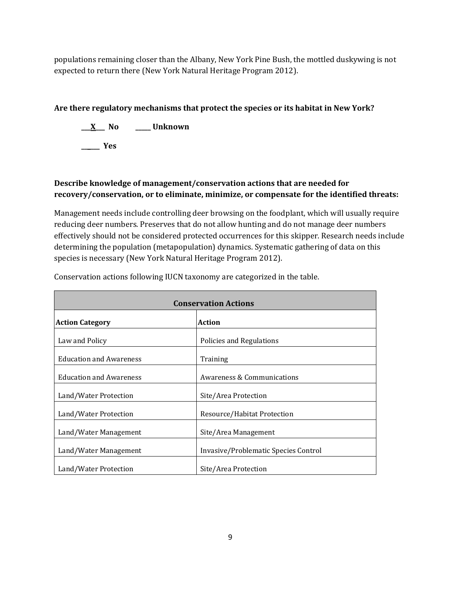populations remaining closer than the Albany, New York Pine Bush, the mottled duskywing is not expected to return there (New York Natural Heritage Program 2012).

# **Are there regulatory mechanisms that protect the species or its habitat in New York?**

**\_\_\_X\_\_\_ No \_\_\_\_\_ Unknown \_\_\_\_\_\_ Yes** 

# **Describe knowledge of management/conservation actions that are needed for recovery/conservation, or to eliminate, minimize, or compensate for the identified threats:**

Management needs include controlling deer browsing on the foodplant, which will usually require reducing deer numbers. Preserves that do not allow hunting and do not manage deer numbers effectively should not be considered protected occurrences for this skipper. Research needs include determining the population (metapopulation) dynamics. Systematic gathering of data on this species is necessary (New York Natural Heritage Program 2012).

| <b>Conservation Actions</b>    |                                      |  |
|--------------------------------|--------------------------------------|--|
| <b>Action Category</b>         | Action                               |  |
| Law and Policy                 | Policies and Regulations             |  |
| <b>Education and Awareness</b> | Training                             |  |
| <b>Education and Awareness</b> | Awareness & Communications           |  |
| Land/Water Protection          | Site/Area Protection                 |  |
| Land/Water Protection          | Resource/Habitat Protection          |  |
| Land/Water Management          | Site/Area Management                 |  |
| Land/Water Management          | Invasive/Problematic Species Control |  |
| Land/Water Protection          | Site/Area Protection                 |  |

Conservation actions following IUCN taxonomy are categorized in the table.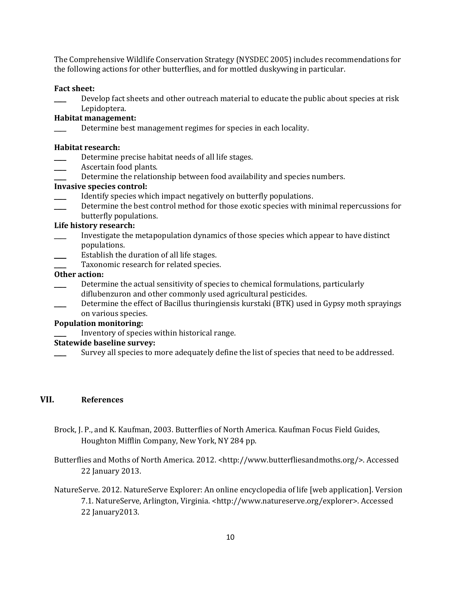The Comprehensive Wildlife Conservation Strategy (NYSDEC 2005) includes recommendations for the following actions for other butterflies, and for mottled duskywing in particular.

### **Fact sheet:**

Develop fact sheets and other outreach material to educate the public about species at risk Lepidoptera.

## **Habitat management:**

Determine best management regimes for species in each locality.

#### **Habitat research:**

- Determine precise habitat needs of all life stages.
- Ascertain food plants.
- Determine the relationship between food availability and species numbers.

## **Invasive species control:**

- Identify species which impact negatively on butterfly populations.
- Determine the best control method for those exotic species with minimal repercussions for butterfly populations.

#### **Life history research:**

- \_\_\_\_ Investigate the metapopulation dynamics of those species which appear to have distinct populations.
- Establish the duration of all life stages.
- Taxonomic research for related species.

# **Other action:**

- Determine the actual sensitivity of species to chemical formulations, particularly diflubenzuron and other commonly used agricultural pesticides.
- Determine the effect of Bacillus thuringiensis kurstaki (BTK) used in Gypsy moth sprayings on various species.

# **Population monitoring:**

\_\_\_\_ Inventory of species within historical range.

## **Statewide baseline survey:**

Survey all species to more adequately define the list of species that need to be addressed.

# **VII. References**

- Brock, J. P., and K. Kaufman, 2003. Butterflies of North America. Kaufman Focus Field Guides, Houghton Mifflin Company, New York, NY 284 pp.
- Butterflies and Moths of North America. 2012. <http://www.butterfliesandmoths.org/>. Accessed 22 January 2013.
- NatureServe. 2012. NatureServe Explorer: An online encyclopedia of life [web application]. Version 7.1. NatureServe, Arlington, Virginia. <http://www.natureserve.org/explorer>. Accessed 22 January2013.